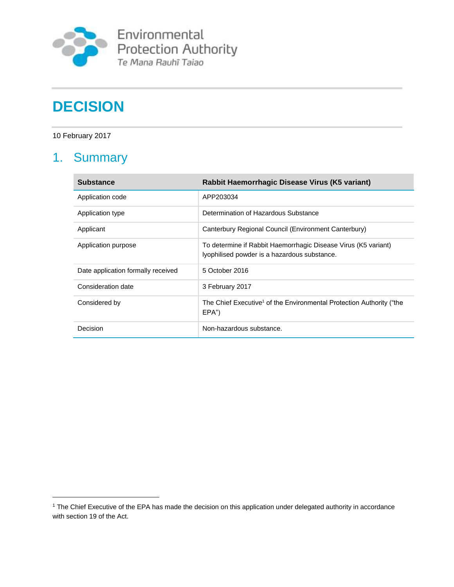

Environmental<br>Protection Authority<br>Te Mana Rauhī Taiao

# **DECISION**

10 February 2017

 $\overline{a}$ 

## 1. Summary

| <b>Substance</b>                   | Rabbit Haemorrhagic Disease Virus (K5 variant)                                                                 |
|------------------------------------|----------------------------------------------------------------------------------------------------------------|
| Application code                   | APP203034                                                                                                      |
| Application type                   | Determination of Hazardous Substance                                                                           |
| Applicant                          | Canterbury Regional Council (Environment Canterbury)                                                           |
| Application purpose                | To determine if Rabbit Haemorrhagic Disease Virus (K5 variant)<br>lyophilised powder is a hazardous substance. |
| Date application formally received | 5 October 2016                                                                                                 |
| Consideration date                 | 3 February 2017                                                                                                |
| Considered by                      | The Chief Executive <sup>1</sup> of the Environmental Protection Authority ("the<br>EPA'                       |
| Decision                           | Non-hazardous substance.                                                                                       |

<sup>1</sup> The Chief Executive of the EPA has made the decision on this application under delegated authority in accordance with section 19 of the Act.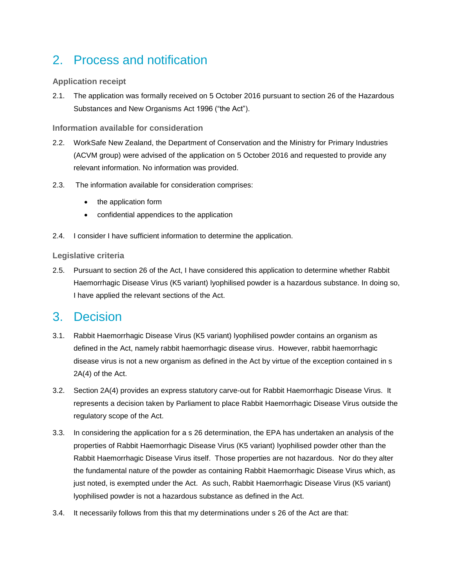### 2. Process and notification

#### **Application receipt**

2.1. The application was formally received on 5 October 2016 pursuant to section 26 of the Hazardous Substances and New Organisms Act 1996 ("the Act").

**Information available for consideration**

- 2.2. WorkSafe New Zealand, the Department of Conservation and the Ministry for Primary Industries (ACVM group) were advised of the application on 5 October 2016 and requested to provide any relevant information. No information was provided.
- 2.3. The information available for consideration comprises:
	- the application form
	- confidential appendices to the application
- 2.4. I consider I have sufficient information to determine the application.

#### **Legislative criteria**

2.5. Pursuant to section 26 of the Act, I have considered this application to determine whether Rabbit Haemorrhagic Disease Virus (K5 variant) lyophilised powder is a hazardous substance. In doing so, I have applied the relevant sections of the Act.

### 3. Decision

- 3.1. Rabbit Haemorrhagic Disease Virus (K5 variant) lyophilised powder contains an organism as defined in the Act, namely rabbit haemorrhagic disease virus. However, rabbit haemorrhagic disease virus is not a new organism as defined in the Act by virtue of the exception contained in s 2A(4) of the Act.
- 3.2. Section 2A(4) provides an express statutory carve-out for Rabbit Haemorrhagic Disease Virus. It represents a decision taken by Parliament to place Rabbit Haemorrhagic Disease Virus outside the regulatory scope of the Act.
- 3.3. In considering the application for a s 26 determination, the EPA has undertaken an analysis of the properties of Rabbit Haemorrhagic Disease Virus (K5 variant) lyophilised powder other than the Rabbit Haemorrhagic Disease Virus itself. Those properties are not hazardous. Nor do they alter the fundamental nature of the powder as containing Rabbit Haemorrhagic Disease Virus which, as just noted, is exempted under the Act. As such, Rabbit Haemorrhagic Disease Virus (K5 variant) lyophilised powder is not a hazardous substance as defined in the Act.
- 3.4. It necessarily follows from this that my determinations under s 26 of the Act are that: